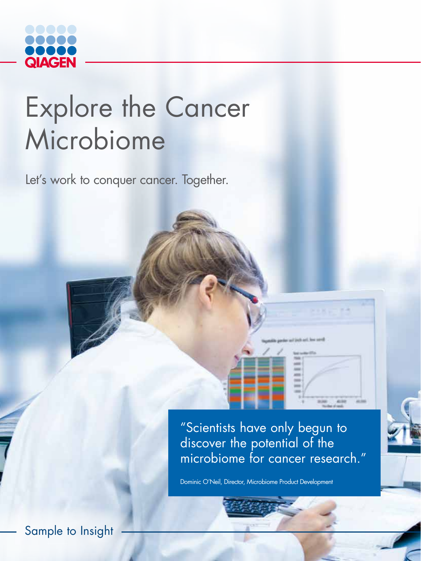

## Explore the Cancer Microbiome

Let's work to conquer cancer. Together.

"Scientists have only begun to discover the potential of the microbiome for cancer research."

Dominic O'Neil, Director, Microbiome Product Development

Sample to Insight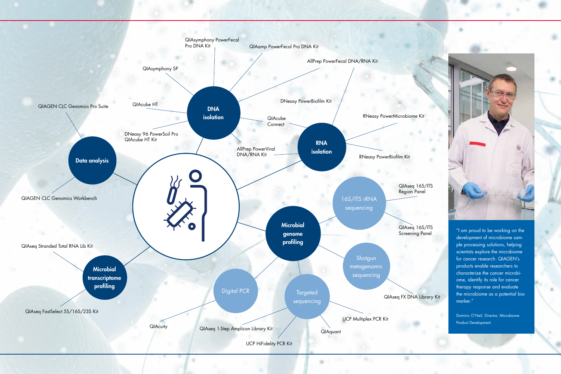"I am proud to be working on the development of microbiome sample processing solutions, helping scientists explore the microbiome for cancer research. QIAGEN's products enable researchers to characterize the cancer microbiome, identify its role for cancer therapy response and evaluate the microbiome as a potential biomarker."

Dominic O'Neil, Director, Microbiome Product Development